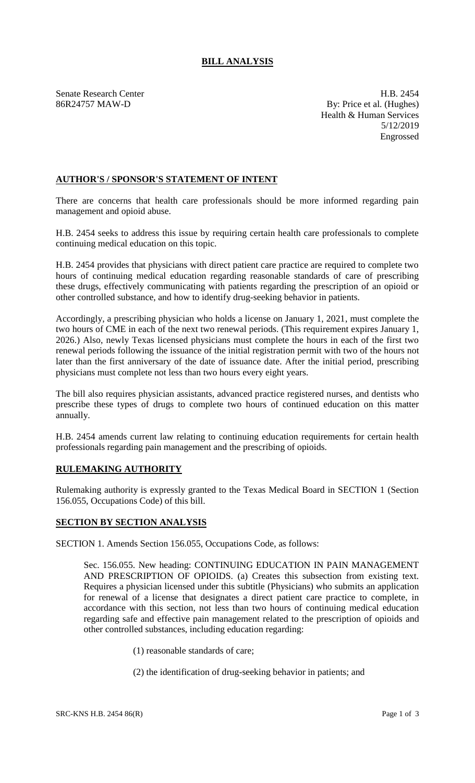## **BILL ANALYSIS**

Senate Research Center **H.B. 2454** 86R24757 MAW-D By: Price et al. (Hughes) Health & Human Services 5/12/2019 Engrossed

## **AUTHOR'S / SPONSOR'S STATEMENT OF INTENT**

There are concerns that health care professionals should be more informed regarding pain management and opioid abuse.

H.B. 2454 seeks to address this issue by requiring certain health care professionals to complete continuing medical education on this topic.

H.B. 2454 provides that physicians with direct patient care practice are required to complete two hours of continuing medical education regarding reasonable standards of care of prescribing these drugs, effectively communicating with patients regarding the prescription of an opioid or other controlled substance, and how to identify drug-seeking behavior in patients.

Accordingly, a prescribing physician who holds a license on January 1, 2021, must complete the two hours of CME in each of the next two renewal periods. (This requirement expires January 1, 2026.) Also, newly Texas licensed physicians must complete the hours in each of the first two renewal periods following the issuance of the initial registration permit with two of the hours not later than the first anniversary of the date of issuance date. After the initial period, prescribing physicians must complete not less than two hours every eight years.

The bill also requires physician assistants, advanced practice registered nurses, and dentists who prescribe these types of drugs to complete two hours of continued education on this matter annually.

H.B. 2454 amends current law relating to continuing education requirements for certain health professionals regarding pain management and the prescribing of opioids.

## **RULEMAKING AUTHORITY**

Rulemaking authority is expressly granted to the Texas Medical Board in SECTION 1 (Section 156.055, Occupations Code) of this bill.

## **SECTION BY SECTION ANALYSIS**

SECTION 1. Amends Section 156.055, Occupations Code, as follows:

Sec. 156.055. New heading: CONTINUING EDUCATION IN PAIN MANAGEMENT AND PRESCRIPTION OF OPIOIDS. (a) Creates this subsection from existing text. Requires a physician licensed under this subtitle (Physicians) who submits an application for renewal of a license that designates a direct patient care practice to complete, in accordance with this section, not less than two hours of continuing medical education regarding safe and effective pain management related to the prescription of opioids and other controlled substances, including education regarding:

- (1) reasonable standards of care;
- (2) the identification of drug-seeking behavior in patients; and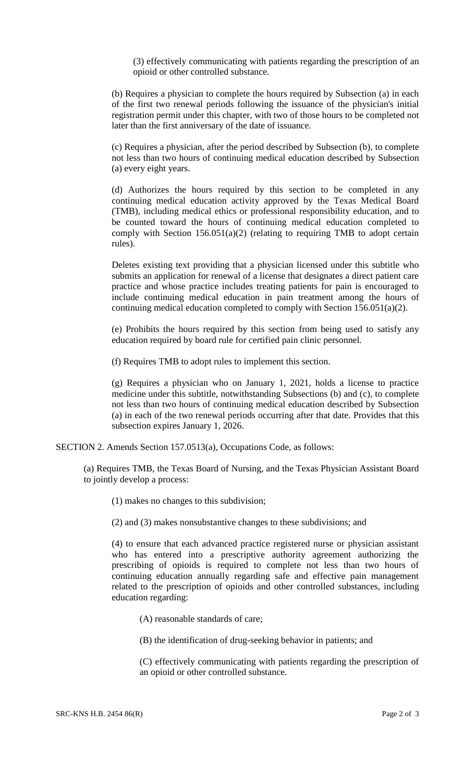(3) effectively communicating with patients regarding the prescription of an opioid or other controlled substance.

(b) Requires a physician to complete the hours required by Subsection (a) in each of the first two renewal periods following the issuance of the physician's initial registration permit under this chapter, with two of those hours to be completed not later than the first anniversary of the date of issuance.

(c) Requires a physician, after the period described by Subsection (b), to complete not less than two hours of continuing medical education described by Subsection (a) every eight years.

(d) Authorizes the hours required by this section to be completed in any continuing medical education activity approved by the Texas Medical Board (TMB), including medical ethics or professional responsibility education, and to be counted toward the hours of continuing medical education completed to comply with Section  $156.051(a)(2)$  (relating to requiring TMB to adopt certain rules).

Deletes existing text providing that a physician licensed under this subtitle who submits an application for renewal of a license that designates a direct patient care practice and whose practice includes treating patients for pain is encouraged to include continuing medical education in pain treatment among the hours of continuing medical education completed to comply with Section 156.051(a)(2).

(e) Prohibits the hours required by this section from being used to satisfy any education required by board rule for certified pain clinic personnel.

(f) Requires TMB to adopt rules to implement this section.

(g) Requires a physician who on January 1, 2021, holds a license to practice medicine under this subtitle, notwithstanding Subsections (b) and (c), to complete not less than two hours of continuing medical education described by Subsection (a) in each of the two renewal periods occurring after that date. Provides that this subsection expires January 1, 2026.

SECTION 2. Amends Section 157.0513(a), Occupations Code, as follows:

(a) Requires TMB, the Texas Board of Nursing, and the Texas Physician Assistant Board to jointly develop a process:

(1) makes no changes to this subdivision;

(2) and (3) makes nonsubstantive changes to these subdivisions; and

(4) to ensure that each advanced practice registered nurse or physician assistant who has entered into a prescriptive authority agreement authorizing the prescribing of opioids is required to complete not less than two hours of continuing education annually regarding safe and effective pain management related to the prescription of opioids and other controlled substances, including education regarding:

(A) reasonable standards of care;

(B) the identification of drug-seeking behavior in patients; and

(C) effectively communicating with patients regarding the prescription of an opioid or other controlled substance.